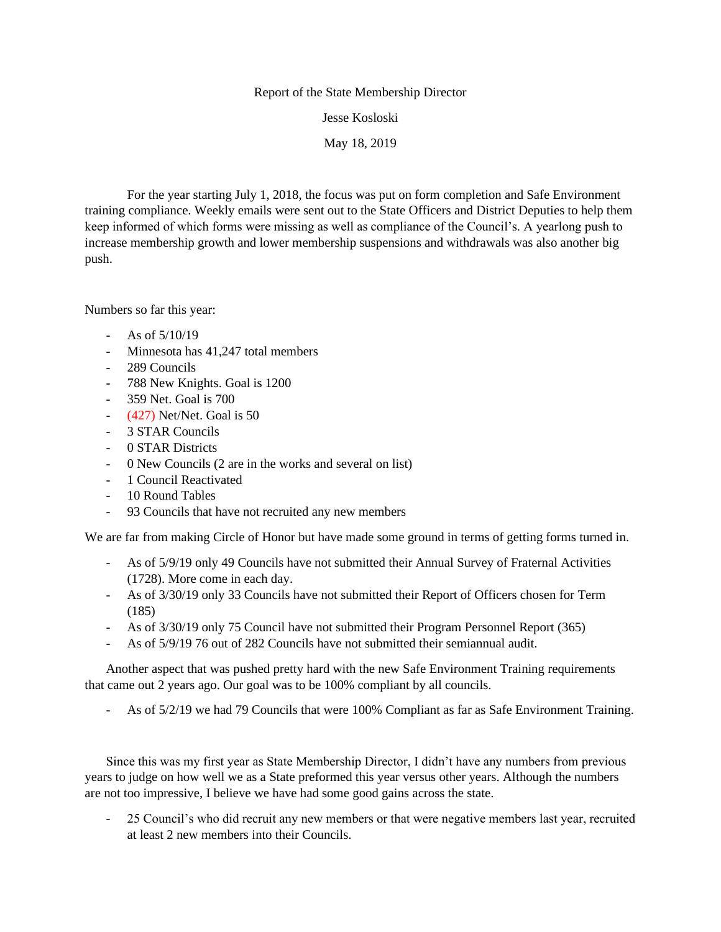## Report of the State Membership Director

Jesse Kosloski

May 18, 2019

For the year starting July 1, 2018, the focus was put on form completion and Safe Environment training compliance. Weekly emails were sent out to the State Officers and District Deputies to help them keep informed of which forms were missing as well as compliance of the Council's. A yearlong push to increase membership growth and lower membership suspensions and withdrawals was also another big push.

Numbers so far this year:

- As of  $5/10/19$
- Minnesota has 41,247 total members
- 289 Councils
- 788 New Knights. Goal is 1200
- 359 Net. Goal is 700
- (427) Net/Net. Goal is 50
- 3 STAR Councils
- 0 STAR Districts
- 0 New Councils (2 are in the works and several on list)
- 1 Council Reactivated
- 10 Round Tables
- 93 Councils that have not recruited any new members

We are far from making Circle of Honor but have made some ground in terms of getting forms turned in.

- As of 5/9/19 only 49 Councils have not submitted their Annual Survey of Fraternal Activities (1728). More come in each day.
- As of 3/30/19 only 33 Councils have not submitted their Report of Officers chosen for Term (185)
- As of 3/30/19 only 75 Council have not submitted their Program Personnel Report (365)
- As of 5/9/19 76 out of 282 Councils have not submitted their semiannual audit.

Another aspect that was pushed pretty hard with the new Safe Environment Training requirements that came out 2 years ago. Our goal was to be 100% compliant by all councils.

- As of 5/2/19 we had 79 Councils that were 100% Compliant as far as Safe Environment Training.

Since this was my first year as State Membership Director, I didn't have any numbers from previous years to judge on how well we as a State preformed this year versus other years. Although the numbers are not too impressive, I believe we have had some good gains across the state.

- 25 Council's who did recruit any new members or that were negative members last year, recruited at least 2 new members into their Councils.